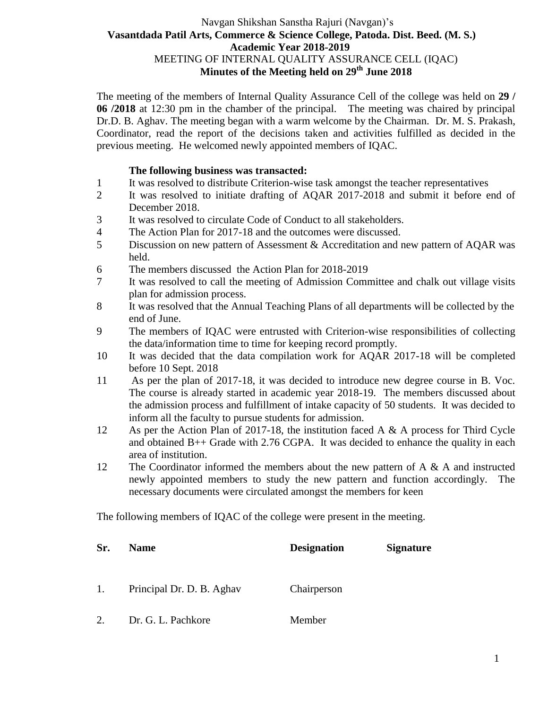## Navgan Shikshan Sanstha Rajuri (Navgan)'s  **Vasantdada Patil Arts, Commerce & Science College, Patoda. Dist. Beed. (M. S.) Academic Year 2018-2019** MEETING OF INTERNAL QUALITY ASSURANCE CELL (IQAC) **Minutes of the Meeting held on 29th June 2018**

The meeting of the members of Internal Quality Assurance Cell of the college was held on **29 / 06 /2018** at 12:30 pm in the chamber of the principal. The meeting was chaired by principal Dr.D. B. Aghav. The meeting began with a warm welcome by the Chairman. Dr. M. S. Prakash, Coordinator, read the report of the decisions taken and activities fulfilled as decided in the previous meeting. He welcomed newly appointed members of IQAC.

#### **The following business was transacted:**

- 1 It was resolved to distribute Criterion-wise task amongst the teacher representatives
- 2 It was resolved to initiate drafting of AQAR 2017-2018 and submit it before end of December 2018.
- 3 It was resolved to circulate Code of Conduct to all stakeholders.
- 4 The Action Plan for 2017-18 and the outcomes were discussed.
- 5 Discussion on new pattern of Assessment & Accreditation and new pattern of AQAR was held.
- 6 The members discussed the Action Plan for 2018-2019
- 7 It was resolved to call the meeting of Admission Committee and chalk out village visits plan for admission process.
- 8 It was resolved that the Annual Teaching Plans of all departments will be collected by the end of June.
- 9 The members of IQAC were entrusted with Criterion-wise responsibilities of collecting the data/information time to time for keeping record promptly.
- 10 It was decided that the data compilation work for AQAR 2017-18 will be completed before 10 Sept. 2018
- 11 As per the plan of 2017-18, it was decided to introduce new degree course in B. Voc. The course is already started in academic year 2018-19. The members discussed about the admission process and fulfillment of intake capacity of 50 students. It was decided to inform all the faculty to pursue students for admission.
- 12 As per the Action Plan of 2017-18, the institution faced A & A process for Third Cycle and obtained  $B++$  Grade with 2.76 CGPA. It was decided to enhance the quality in each area of institution.
- 12 The Coordinator informed the members about the new pattern of A & A and instructed newly appointed members to study the new pattern and function accordingly. The necessary documents were circulated amongst the members for keen

The following members of IQAC of the college were present in the meeting.

| Sr. | <b>Name</b>               | <b>Designation</b> | <b>Signature</b> |
|-----|---------------------------|--------------------|------------------|
| 1.  | Principal Dr. D. B. Aghav | Chairperson        |                  |
| 2.  | Dr. G. L. Pachkore        | Member             |                  |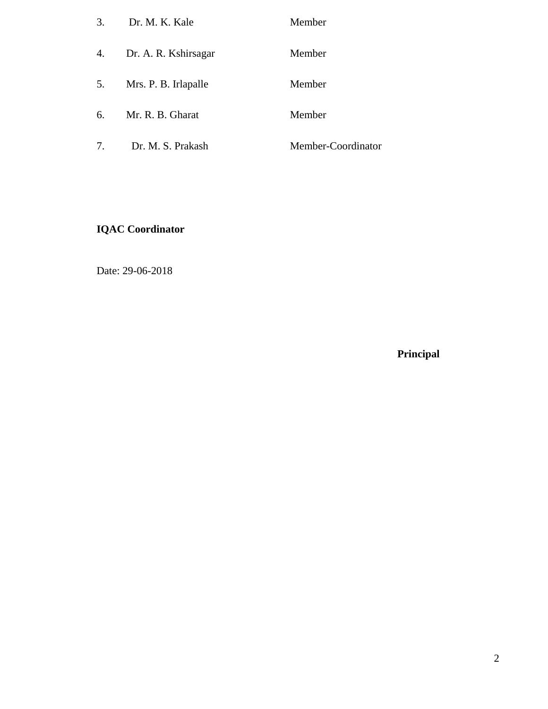| 3. | Dr. M. K. Kale          | Member             |
|----|-------------------------|--------------------|
|    | 4. Dr. A. R. Kshirsagar | Member             |
| 5. | Mrs. P. B. Irlapalle    | Member             |
| 6. | Mr. R. B. Gharat        | Member             |
| 7. | Dr. M. S. Prakash       | Member-Coordinator |

# **IQAC Coordinator**

Date: 29-06-2018

**Principal**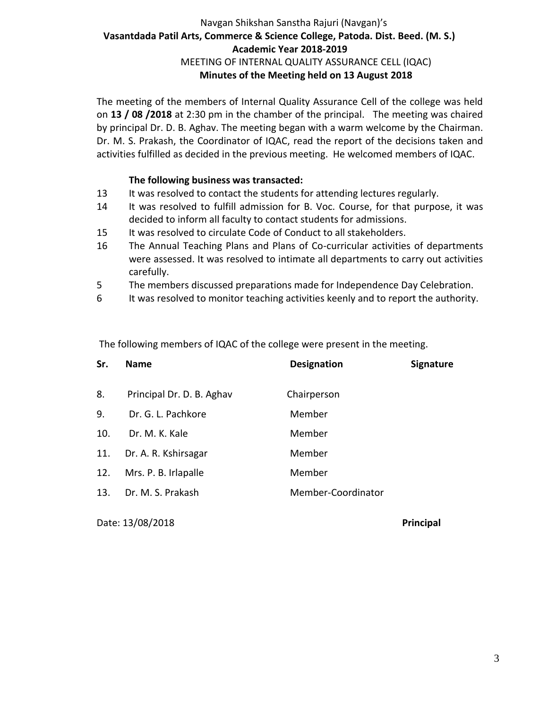# Navgan Shikshan Sanstha Rajuri (Navgan)'s  **Vasantdada Patil Arts, Commerce & Science College, Patoda. Dist. Beed. (M. S.) Academic Year 2018-2019** MEETING OF INTERNAL QUALITY ASSURANCE CELL (IQAC) **Minutes of the Meeting held on 13 August 2018**

The meeting of the members of Internal Quality Assurance Cell of the college was held on **13 / 08 /2018** at 2:30 pm in the chamber of the principal. The meeting was chaired by principal Dr. D. B. Aghav. The meeting began with a warm welcome by the Chairman. Dr. M. S. Prakash, the Coordinator of IQAC, read the report of the decisions taken and activities fulfilled as decided in the previous meeting. He welcomed members of IQAC.

#### **The following business was transacted:**

- 13 It was resolved to contact the students for attending lectures regularly.
- 14 It was resolved to fulfill admission for B. Voc. Course, for that purpose, it was decided to inform all faculty to contact students for admissions.
- 15 It was resolved to circulate Code of Conduct to all stakeholders.
- 16 The Annual Teaching Plans and Plans of Co-curricular activities of departments were assessed. It was resolved to intimate all departments to carry out activities carefully.
- 5 The members discussed preparations made for Independence Day Celebration.
- 6 It was resolved to monitor teaching activities keenly and to report the authority.

The following members of IQAC of the college were present in the meeting.

| Sr. | <b>Name</b>               | <b>Designation</b> | <b>Signature</b> |
|-----|---------------------------|--------------------|------------------|
| 8.  | Principal Dr. D. B. Aghav | Chairperson        |                  |
| 9.  | Dr. G. L. Pachkore        | Member             |                  |
| 10. | Dr. M. K. Kale            | Member             |                  |
| 11. | Dr. A. R. Kshirsagar      | Member             |                  |
| 12. | Mrs. P. B. Irlapalle      | Member             |                  |
| 13. | Dr. M. S. Prakash         | Member-Coordinator |                  |

Date: 13/08/2018 **Principal**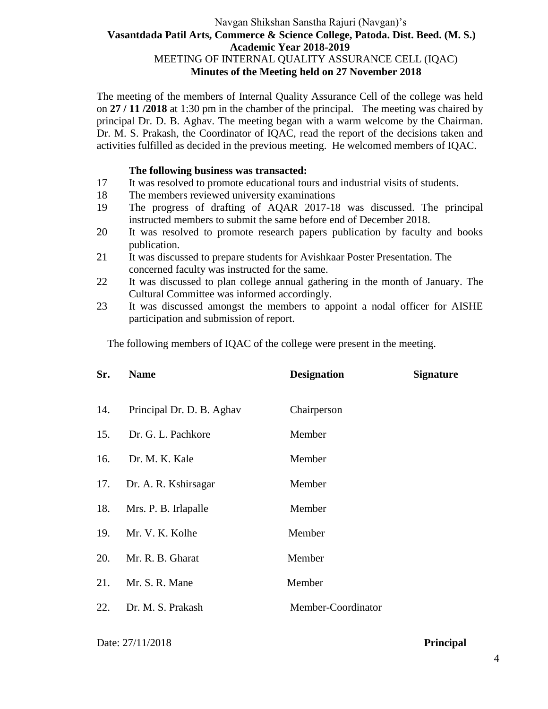## Navgan Shikshan Sanstha Rajuri (Navgan)'s  **Vasantdada Patil Arts, Commerce & Science College, Patoda. Dist. Beed. (M. S.) Academic Year 2018-2019** MEETING OF INTERNAL QUALITY ASSURANCE CELL (IQAC) **Minutes of the Meeting held on 27 November 2018**

The meeting of the members of Internal Quality Assurance Cell of the college was held on **27 / 11 /2018** at 1:30 pm in the chamber of the principal. The meeting was chaired by principal Dr. D. B. Aghav. The meeting began with a warm welcome by the Chairman. Dr. M. S. Prakash, the Coordinator of IQAC, read the report of the decisions taken and activities fulfilled as decided in the previous meeting. He welcomed members of IQAC.

#### **The following business was transacted:**

- 17 It was resolved to promote educational tours and industrial visits of students.
- 18 The members reviewed university examinations
- 19 The progress of drafting of AQAR 2017-18 was discussed. The principal instructed members to submit the same before end of December 2018.
- 20 It was resolved to promote research papers publication by faculty and books publication.
- 21 It was discussed to prepare students for Avishkaar Poster Presentation. The concerned faculty was instructed for the same.
- 22 It was discussed to plan college annual gathering in the month of January. The Cultural Committee was informed accordingly.
- 23 It was discussed amongst the members to appoint a nodal officer for AISHE participation and submission of report.

The following members of IQAC of the college were present in the meeting.

| Sr. | <b>Name</b>               | <b>Designation</b> | <b>Signature</b> |
|-----|---------------------------|--------------------|------------------|
| 14. | Principal Dr. D. B. Aghav | Chairperson        |                  |
| 15. | Dr. G. L. Pachkore        | Member             |                  |
| 16. | Dr. M. K. Kale            | Member             |                  |
| 17. | Dr. A. R. Kshirsagar      | Member             |                  |
| 18. | Mrs. P. B. Irlapalle      | Member             |                  |
| 19. | Mr. V. K. Kolhe           | Member             |                  |
| 20. | Mr. R. B. Gharat          | Member             |                  |
| 21. | Mr. S. R. Mane            | Member             |                  |
| 22. | Dr. M. S. Prakash         | Member-Coordinator |                  |